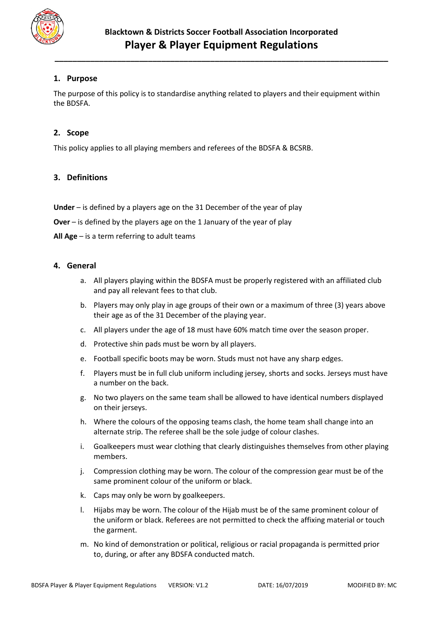

# **1. Purpose**

The purpose of this policy is to standardise anything related to players and their equipment within the BDSFA.

# **2. Scope**

This policy applies to all playing members and referees of the BDSFA & BCSRB.

# **3. Definitions**

**Under** – is defined by a players age on the 31 December of the year of play

**Over** – is defined by the players age on the 1 January of the year of play

**All Age** – is a term referring to adult teams

#### **4. General**

- a. All players playing within the BDSFA must be properly registered with an affiliated club and pay all relevant fees to that club.
- b. Players may only play in age groups of their own or a maximum of three (3) years above their age as of the 31 December of the playing year.
- c. All players under the age of 18 must have 60% match time over the season proper.
- d. Protective shin pads must be worn by all players.
- e. Football specific boots may be worn. Studs must not have any sharp edges.
- f. Players must be in full club uniform including jersey, shorts and socks. Jerseys must have a number on the back.
- g. No two players on the same team shall be allowed to have identical numbers displayed on their jerseys.
- h. Where the colours of the opposing teams clash, the home team shall change into an alternate strip. The referee shall be the sole judge of colour clashes.
- i. Goalkeepers must wear clothing that clearly distinguishes themselves from other playing members.
- j. Compression clothing may be worn. The colour of the compression gear must be of the same prominent colour of the uniform or black.
- k. Caps may only be worn by goalkeepers.
- l. Hijabs may be worn. The colour of the Hijab must be of the same prominent colour of the uniform or black. Referees are not permitted to check the affixing material or touch the garment.
- m. No kind of demonstration or political, religious or racial propaganda is permitted prior to, during, or after any BDSFA conducted match.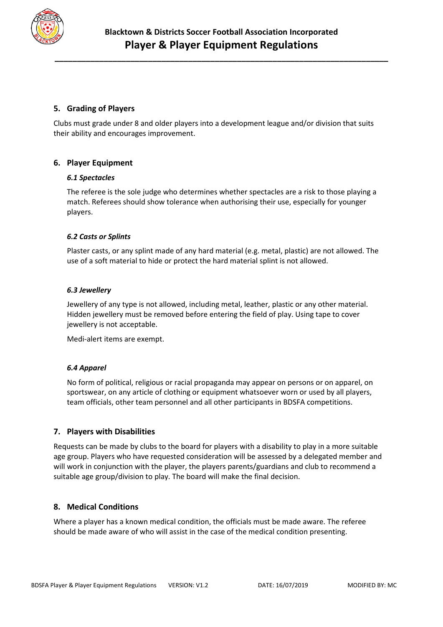

# **5. Grading of Players**

Clubs must grade under 8 and older players into a development league and/or division that suits their ability and encourages improvement.

# **6. Player Equipment**

#### *6.1 Spectacles*

The referee is the sole judge who determines whether spectacles are a risk to those playing a match. Referees should show tolerance when authorising their use, especially for younger players.

### *6.2 Casts or Splints*

Plaster casts, or any splint made of any hard material (e.g. metal, plastic) are not allowed. The use of a soft material to hide or protect the hard material splint is not allowed.

#### *6.3 Jewellery*

Jewellery of any type is not allowed, including metal, leather, plastic or any other material. Hidden jewellery must be removed before entering the field of play. Using tape to cover jewellery is not acceptable.

Medi-alert items are exempt.

#### *6.4 Apparel*

No form of political, religious or racial propaganda may appear on persons or on apparel, on sportswear, on any article of clothing or equipment whatsoever worn or used by all players, team officials, other team personnel and all other participants in BDSFA competitions.

### **7. Players with Disabilities**

Requests can be made by clubs to the board for players with a disability to play in a more suitable age group. Players who have requested consideration will be assessed by a delegated member and will work in conjunction with the player, the players parents/guardians and club to recommend a suitable age group/division to play. The board will make the final decision.

### **8. Medical Conditions**

Where a player has a known medical condition, the officials must be made aware. The referee should be made aware of who will assist in the case of the medical condition presenting.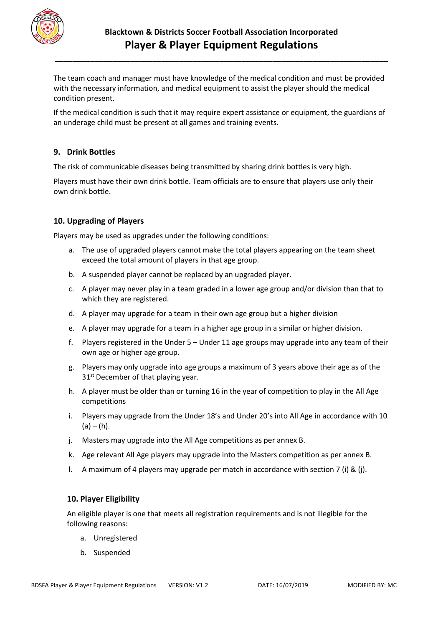

The team coach and manager must have knowledge of the medical condition and must be provided with the necessary information, and medical equipment to assist the player should the medical condition present.

If the medical condition is such that it may require expert assistance or equipment, the guardians of an underage child must be present at all games and training events.

### **9. Drink Bottles**

The risk of communicable diseases being transmitted by sharing drink bottles is very high.

Players must have their own drink bottle. Team officials are to ensure that players use only their own drink bottle.

# **10. Upgrading of Players**

Players may be used as upgrades under the following conditions:

- a. The use of upgraded players cannot make the total players appearing on the team sheet exceed the total amount of players in that age group.
- b. A suspended player cannot be replaced by an upgraded player.
- c. A player may never play in a team graded in a lower age group and/or division than that to which they are registered.
- d. A player may upgrade for a team in their own age group but a higher division
- e. A player may upgrade for a team in a higher age group in a similar or higher division.
- f. Players registered in the Under 5 Under 11 age groups may upgrade into any team of their own age or higher age group.
- g. Players may only upgrade into age groups a maximum of 3 years above their age as of the 31<sup>st</sup> December of that playing year.
- h. A player must be older than or turning 16 in the year of competition to play in the All Age competitions
- i. Players may upgrade from the Under 18's and Under 20's into All Age in accordance with 10  $(a) - (h)$ .
- j. Masters may upgrade into the All Age competitions as per annex B.
- k. Age relevant All Age players may upgrade into the Masters competition as per annex B.
- l. A maximum of 4 players may upgrade per match in accordance with section 7 (i) & (j).

### **10. Player Eligibility**

An eligible player is one that meets all registration requirements and is not illegible for the following reasons:

- a. Unregistered
- b. Suspended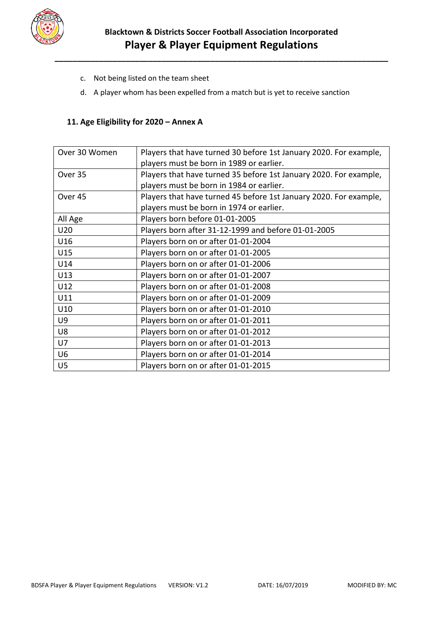

- c. Not being listed on the team sheet
- d. A player whom has been expelled from a match but is yet to receive sanction

### **11. Age Eligibility for 2020 – Annex A**

| Over 30 Women | Players that have turned 30 before 1st January 2020. For example, |  |  |
|---------------|-------------------------------------------------------------------|--|--|
|               | players must be born in 1989 or earlier.                          |  |  |
| Over 35       | Players that have turned 35 before 1st January 2020. For example, |  |  |
|               | players must be born in 1984 or earlier.                          |  |  |
| Over 45       | Players that have turned 45 before 1st January 2020. For example, |  |  |
|               | players must be born in 1974 or earlier.                          |  |  |
| All Age       | Players born before 01-01-2005                                    |  |  |
| U20           | Players born after 31-12-1999 and before 01-01-2005               |  |  |
| U16           | Players born on or after 01-01-2004                               |  |  |
| U15           | Players born on or after 01-01-2005                               |  |  |
| U14           | Players born on or after 01-01-2006                               |  |  |
| U13           | Players born on or after 01-01-2007                               |  |  |
| U12           | Players born on or after 01-01-2008                               |  |  |
| U11           | Players born on or after 01-01-2009                               |  |  |
| U10           | Players born on or after 01-01-2010                               |  |  |
| U9            | Players born on or after 01-01-2011                               |  |  |
| U8            | Players born on or after 01-01-2012                               |  |  |
| U7            | Players born on or after 01-01-2013                               |  |  |
| U6            | Players born on or after 01-01-2014                               |  |  |
| U5            | Players born on or after 01-01-2015                               |  |  |